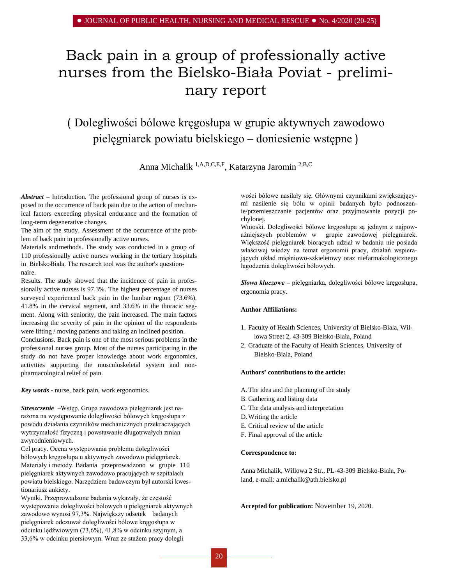# Back pain in a group of professionally active nurses from the Bielsko-Biała Poviat - preliminary report

# ( Dolegliwości bólowe kręgosłupa w grupie aktywnych zawodowo pielęgniarek powiatu bielskiego – doniesienie wstępne )

Anna Michalik <sup>1,A,D,C,E,F</sup>, Katarzyna Jaromin<sup>2,B,C</sup>

*Abstract –* Introduction. The professional group of nurses is exposed to the occurrence of back pain due to the action of mechanical factors exceeding physical endurance and the formation of long-term degenerative changes.

The aim of the study. Assessment of the occurrence of the problem of back pain in professionally active nurses.

Materials and methods. The study was conducted in a group of 110 professionally active nurses working in the tertiary hospitals in Bielsko-Biała. The research tool was the author's questionnaire.

Results. The study showed that the incidence of pain in professionally active nurses is 97.3%. The highest percentage of nurses surveyed experienced back pain in the lumbar region  $(73.6\%)$ , 41.8% in the cervical segment, and 33.6% in the thoracic segment. Along with seniority, the pain increased. The main factors increasing the severity of pain in the opinion of the respondents were lifting / moving patients and taking an inclined position.

Conclusions. Back pain is one of the most serious problems in the professional nurses group. Most of the nurses participating in the study do not have proper knowledge about work ergonomics, activities supporting the musculoskeletal system and nonpharmacological relief of pain.

*Key words -* nurse, back pain, work ergonomics.

*Streszczenie –* Wstęp. Grupa zawodowa pielęgniarek jest narażona na występowanie dolegliwości bólowych kręgosłupa z powodu działania czynników mechanicznych przekraczających wytrzymałość fizyczną i powstawanie długotrwałych zmian zwyrodnieniowych.

Cel pracy. Ocena występowania problemu dolegliwości bólowych kręgosłupa u aktywnych zawodowo pielęgniarek. Materiały i metody. Badania przeprowadzono w grupie 110 pielęgniarek aktywnych zawodowo pracujących w szpitalach powiatu bielskiego. Narzędziem badawczym był autorski kwestionariusz ankiety.

Wyniki. Przeprowadzone badania wykazały, że częstość występowania dolegliwości bólowych u pielęgniarek aktywnych zawodowo wynosi 97,3%. Największy odsetek badanych pielęgniarek odczuwał dolegliwości bólowe kręgosłupa w odcinku lędźwiowym (73,6%), 41,8% w odcinku szyjnym, a 33,6% w odcinku piersiowym. Wraz ze stażem pracy dolegli

wości bólowe nasilały się. Głównymi czynnikami zwiększającymi nasilenie się bólu w opinii badanych było podnoszenie/przemieszczanie pacjentów oraz przyjmowanie pozycji pochylonej.

Wnioski. Dolegliwości bólowe kręgosłupa są jednym z najpoważniejszych problemów w grupie zawodowej pielęgniarek. Większość pielęgniarek biorących udział w badaniu nie posiada właściwej wiedzy na temat ergonomii pracy, działań wspierających układ mięśniowo-szkieletowy oraz niefarmakologicznego łagodzenia dolegliwości bólowych.

*Słowa kluczowe –* pielęgniarka, dolegliwości bólowe kręgosłupa, ergonomia pracy.

#### **Author Affiliations:**

- 1. Faculty of Health Sciences, University of Bielsko-Biala, Willowa Street 2, 43-309 Bielsko-Biała, Poland
- 2. Graduate of the Faculty of Health Sciences, University of Bielsko-Biala, Poland

#### **Authors' contributions to the article:**

- A.The idea and the planning of the study
- B. Gathering and listing data
- C. The data analysis and interpretation
- D.Writing the article
- E. Critical review of the article
- F. Final approval of the article

#### **Correspondence to:**

Anna Michalik, Willowa 2 Str., PL-43-309 Bielsko-Biała, Poland, e-mail: [a.michalik@ath.bielsko.pl](mailto:a.michalik@ath.bielsko.pl) 

**Accepted for publication:** November 19, 2020.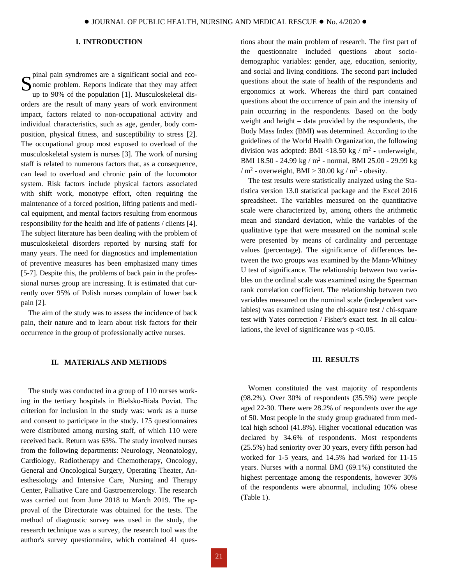### **I. INTRODUCTION**

S<br>pinal pain syndromes are a significant social and eco-<br>nomic problem. Reports indicate that they may affect<br>up to 90% of the population [1]. Musculoskalatal disnomic problem. Reports indicate that they may affect up to 90% of the population [1]. Musculoskeletal disorders are the result of many years of work environment impact, factors related to non-occupational activity and individual characteristics, such as age, gender, body composition, physical fitness, and susceptibility to stress [2]. The occupational group most exposed to overload of the musculoskeletal system is nurses [3]. The work of nursing staff is related to numerous factors that, as a consequence, can lead to overload and chronic pain of the locomotor system. Risk factors include physical factors associated with shift work, monotype effort, often requiring the maintenance of a forced position, lifting patients and medical equipment, and mental factors resulting from enormous responsibility for the health and life of patients / clients [4]. The subject literature has been dealing with the problem of musculoskeletal disorders reported by nursing staff for many years. The need for diagnostics and implementation of preventive measures has been emphasized many times [5-7]. Despite this, the problems of back pain in the professional nurses group are increasing. It is estimated that currently over 95% of Polish nurses complain of lower back pain [2].

The aim of the study was to assess the incidence of back pain, their nature and to learn about risk factors for their occurrence in the group of professionally active nurses.

#### **II. MATERIALS AND METHODS**

The study was conducted in a group of 110 nurses working in the tertiary hospitals in Bielsko-Biała Poviat. The criterion for inclusion in the study was: work as a nurse and consent to participate in the study. 175 questionnaires were distributed among nursing staff, of which 110 were received back. Return was 63%. The study involved nurses from the following departments: Neurology, Neonatology, Cardiology, Radiotherapy and Chemotherapy, Oncology, General and Oncological Surgery, Operating Theater, Anesthesiology and Intensive Care, Nursing and Therapy Center, Palliative Care and Gastroenterology. The research was carried out from June 2018 to March 2019. The approval of the Directorate was obtained for the tests. The method of diagnostic survey was used in the study, the research technique was a survey, the research tool was the author's survey questionnaire, which contained 41 ques-

tions about the main problem of research. The first part of the questionnaire included questions about sociodemographic variables: gender, age, education, seniority, and social and living conditions. The second part included questions about the state of health of the respondents and ergonomics at work. Whereas the third part contained questions about the occurrence of pain and the intensity of pain occurring in the respondents. Based on the body weight and height – data provided by the respondents, the Body Mass Index (BMI) was determined. According to the guidelines of the World Health Organization, the following division was adopted: BMI <18.50 kg /  $m<sup>2</sup>$  - underweight, BMI 18.50 - 24.99 kg /  $m^2$  - normal, BMI 25.00 - 29.99 kg /  $m^2$  - overweight, BMI > 30.00 kg /  $m^2$  - obesity.

The test results were statistically analyzed using the Statistica version 13.0 statistical package and the Excel 2016 spreadsheet. The variables measured on the quantitative scale were characterized by, among others the arithmetic mean and standard deviation, while the variables of the qualitative type that were measured on the nominal scale were presented by means of cardinality and percentage values (percentage). The significance of differences between the two groups was examined by the Mann-Whitney U test of significance. The relationship between two variables on the ordinal scale was examined using the Spearman rank correlation coefficient. The relationship between two variables measured on the nominal scale (independent variables) was examined using the chi-square test / chi-square test with Yates correction / Fisher's exact test. In all calculations, the level of significance was  $p < 0.05$ .

#### **III. RESULTS**

Women constituted the vast majority of respondents (98.2%). Over 30% of respondents (35.5%) were people aged 22-30. There were 28.2% of respondents over the age of 50. Most people in the study group graduated from medical high school (41.8%). Higher vocational education was declared by 34.6% of respondents. Most respondents (25.5%) had seniority over 30 years, every fifth person had worked for 1-5 years, and 14.5% had worked for 11-15 years. Nurses with a normal BMI (69.1%) constituted the highest percentage among the respondents, however 30% of the respondents were abnormal, including 10% obese (Table 1).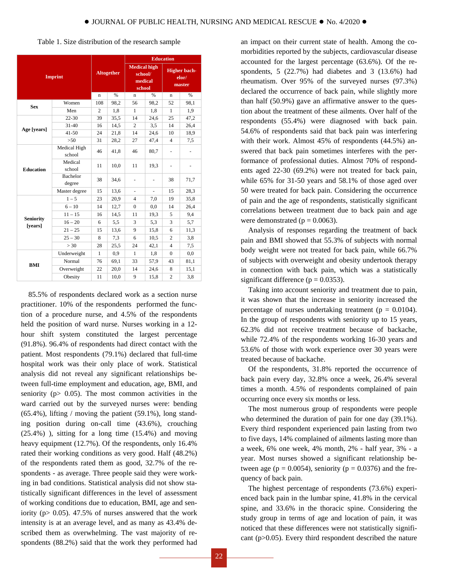| <b>Medical high</b><br><b>Higher bach-</b><br><b>Altogether</b><br>school/<br><b>Imprint</b><br>elor/<br>medical<br>master<br>school | %<br>98,1 |
|--------------------------------------------------------------------------------------------------------------------------------------|-----------|
|                                                                                                                                      |           |
| %<br>%<br>n<br>$\mathbf n$<br>n                                                                                                      |           |
| Women<br>108<br>98,2<br>52<br>98,2<br>56<br><b>Sex</b>                                                                               |           |
| Men<br>$\overline{c}$<br>1,8<br>1,8<br>1<br>1                                                                                        | 1,9       |
| $22 - 30$<br>39<br>35,5<br>25<br>14<br>24,6                                                                                          | 47,2      |
| $31 - 40$<br>16<br>14,5<br>3.5<br>14<br>2<br>Age [years]                                                                             | 26,4      |
| $41 - 50$<br>24<br>21,8<br>14<br>24,6<br>10                                                                                          | 18,9      |
| $>50$<br>31<br>28,2<br>27<br>47,4<br>$\overline{4}$                                                                                  | 7,5       |
| Medical High<br>46<br>41,8<br>46<br>80,7<br>ä,<br>school                                                                             | -         |
| Medical<br>11<br>10,0<br>11<br>19,3<br>school<br><b>Education</b>                                                                    | ۰         |
| Bachelor<br>38<br>34,6<br>38<br>degree                                                                                               | 71,7      |
| Master degree<br>13,6<br>15<br>15                                                                                                    | 28,3      |
| $1 - 5$<br>23<br>20,9<br>$\overline{4}$<br>7,0<br>19                                                                                 | 35,8      |
| $6 - 10$<br>$\overline{0}$<br>14<br>12,7<br>0.0<br>14                                                                                | 26,4      |
| $11 - 15$<br>5<br>16<br>14,5<br>11<br>19,3                                                                                           | 9,4       |
| <b>Seniority</b><br>5,3<br>3<br>$16 - 20$<br>5,5<br>6<br>3                                                                           | 5,7       |
| [years]<br>$21 - 25$<br>13,6<br>9<br>15,8<br>6<br>15                                                                                 | 11,3      |
| $25 - 30$<br>8<br>7.3<br>6<br>$\overline{c}$<br>10,5                                                                                 | 3,8       |
| > 30<br>$\overline{4}$<br>28<br>25,5<br>24<br>42,1                                                                                   | 7,5       |
| Underweight<br>0.9<br>1<br>1<br>1,8<br>$\Omega$                                                                                      | 0.0       |
| Normal<br>69,1<br>33<br>57,9<br>76<br>43                                                                                             | 81,1      |
| <b>BMI</b><br>Overweight<br>22<br>20,0<br>14<br>24,6<br>8                                                                            | 15,1      |
| $\overline{c}$<br>Obesity<br>10,0<br>9<br>11<br>15,8                                                                                 | 3,8       |

Table 1. Size distribution of the research sample

85.5% of respondents declared work as a section nurse practitioner. 10% of the respondents performed the function of a procedure nurse, and 4.5% of the respondents held the position of ward nurse. Nurses working in a 12 hour shift system constituted the largest percentage (91.8%). 96.4% of respondents had direct contact with the patient. Most respondents (79.1%) declared that full-time hospital work was their only place of work. Statistical analysis did not reveal any significant relationships between full-time employment and education, age, BMI, and seniority ( $p$  = 0.05). The most common activities in the ward carried out by the surveyed nurses were: bending  $(65.4\%)$ , lifting / moving the patient  $(59.1\%)$ , long standing position during on-call time (43.6%), crouching (25.4%) ), sitting for a long time (15.4%) and moving heavy equipment (12.7%). Of the respondents, only 16.4% rated their working conditions as very good. Half (48.2%) of the respondents rated them as good, 32.7% of the respondents - as average. Three people said they were working in bad conditions. Statistical analysis did not show statistically significant differences in the level of assessment of working conditions due to education, BMI, age and seniority ( $p > 0.05$ ). 47.5% of nurses answered that the work intensity is at an average level, and as many as 43.4% described them as overwhelming. The vast majority of respondents (88.2%) said that the work they performed had

an impact on their current state of health. Among the comorbidities reported by the subjects, cardiovascular disease accounted for the largest percentage (63.6%). Of the respondents, 5 (22.7%) had diabetes and 3 (13.6%) had rheumatism. Over 95% of the surveyed nurses (97.3%) declared the occurrence of back pain, while slightly more than half (50.9%) gave an affirmative answer to the question about the treatment of these ailments. Over half of the respondents (55.4%) were diagnosed with back pain. 54.6% of respondents said that back pain was interfering with their work. Almost 45% of respondents (44.5%) answered that back pain sometimes interferes with the performance of professional duties. Almost 70% of respondents aged 22-30 (69.2%) were not treated for back pain, while 65% for 31-50 years and 58.1% of those aged over 50 were treated for back pain. Considering the occurrence of pain and the age of respondents, statistically significant correlations between treatment due to back pain and age were demonstrated ( $p = 0.0063$ ).

Analysis of responses regarding the treatment of back pain and BMI showed that 55.3% of subjects with normal body weight were not treated for back pain, while 66.7% of subjects with overweight and obesity undertook therapy in connection with back pain, which was a statistically significant difference ( $p = 0.0353$ ).

Taking into account seniority and treatment due to pain, it was shown that the increase in seniority increased the percentage of nurses undertaking treatment ( $p = 0.0104$ ). In the group of respondents with seniority up to 15 years, 62.3% did not receive treatment because of backache, while 72.4% of the respondents working 16-30 years and 53.6% of those with work experience over 30 years were treated because of backache.

Of the respondents, 31.8% reported the occurrence of back pain every day, 32.8% once a week, 26.4% several times a month. 4.5% of respondents complained of pain occurring once every six months or less.

The most numerous group of respondents were people who determined the duration of pain for one day (39.1%). Every third respondent experienced pain lasting from two to five days, 14% complained of ailments lasting more than a week, 6% one week, 4% month, 2% - half year, 3% - a year. Most nurses showed a significant relationship between age ( $p = 0.0054$ ), seniority ( $p = 0.0376$ ) and the frequency of back pain.

The highest percentage of respondents (73.6%) experienced back pain in the lumbar spine, 41.8% in the cervical spine, and 33.6% in the thoracic spine. Considering the study group in terms of age and location of pain, it was noticed that these differences were not statistically significant (p>0.05). Every third respondent described the nature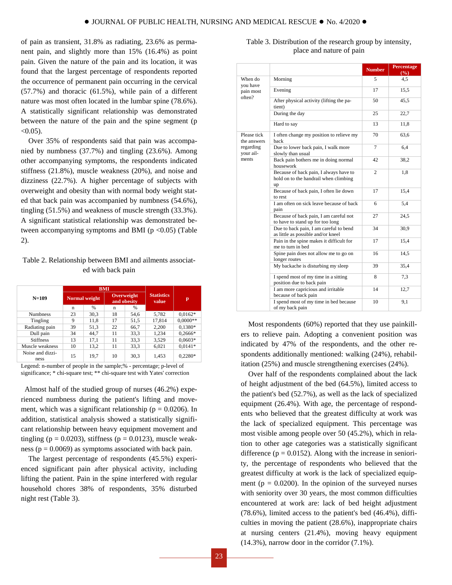of pain as transient, 31.8% as radiating, 23.6% as permanent pain, and slightly more than 15% (16.4%) as point pain. Given the nature of the pain and its location, it was found that the largest percentage of respondents reported the occurrence of permanent pain occurring in the cervical (57.7%) and thoracic (61.5%), while pain of a different nature was most often located in the lumbar spine (78.6%). A statistically significant relationship was demonstrated between the nature of the pain and the spine segment (p  $< 0.05$ ).

Over 35% of respondents said that pain was accompanied by numbness (37.7%) and tingling (23.6%). Among other accompanying symptoms, the respondents indicated stiffness (21.8%), muscle weakness (20%), and noise and dizziness (22.7%). A higher percentage of subjects with overweight and obesity than with normal body weight stated that back pain was accompanied by numbness (54.6%), tingling (51.5%) and weakness of muscle strength (33.3%). A significant statistical relationship was demonstrated between accompanying symptoms and BMI ( $p < 0.05$ ) (Table 2).

## Table 2. Relationship between BMI and ailments associated with back pain

|                          | <b>BMI</b>    |               |                           |               |                            |            |  |
|--------------------------|---------------|---------------|---------------------------|---------------|----------------------------|------------|--|
| $N=109$                  | Normal weight |               | Overweight<br>and obesity |               | <b>Statistics</b><br>value | p          |  |
|                          | n             | $\frac{0}{6}$ | $\mathbf n$               | $\frac{9}{6}$ |                            |            |  |
| <b>Numbness</b>          | 23            | 30,3          | 18                        | 54.6          | 5,782                      | $0.0162*$  |  |
| Tingling                 | 9             | 11,8          | 17                        | 51,5          | 17,814                     | $0.0000**$ |  |
| Radiating pain           | 39            | 51,3          | 22                        | 66,7          | 2,200                      | $0.1380*$  |  |
| Dull pain                | 34            | 44.7          | 11                        | 33,3          | 1,234                      | $0,2666*$  |  |
| <b>Stiffness</b>         | 13            | 17,1          | 11                        | 33,3          | 3,529                      | $0,0603*$  |  |
| Muscle weakness          | 10            | 13,2          | 11                        | 33,3          | 6,021                      | $0.0141*$  |  |
| Noise and dizzi-<br>ness | 15            | 19.7          | 10                        | 30.3          | 1,453                      | $0.2280*$  |  |

Legend: n-number of people in the sample;% - percentage; p-level of significance; \* chi-square test; \*\* chi-square test with Yates' correction

 Almost half of the studied group of nurses (46.2%) experienced numbness during the patient's lifting and movement, which was a significant relationship ( $p = 0.0206$ ). In addition, statistical analysis showed a statistically significant relationship between heavy equipment movement and tingling ( $p = 0.0203$ ), stiffness ( $p = 0.0123$ ), muscle weakness ( $p = 0.0069$ ) as symptoms associated with back pain.

The largest percentage of respondents (45.5%) experienced significant pain after physical activity, including lifting the patient. Pain in the spine interfered with regular household chores 38% of respondents, 35% disturbed night rest (Table 3).

|                                 |                                                                                       | <b>Number</b>  | Percentage<br>(%) |
|---------------------------------|---------------------------------------------------------------------------------------|----------------|-------------------|
| When do<br>vou have             | Morning                                                                               | 5              | 4,5               |
| pain most<br>often?             | Evening                                                                               | 17             | 15,5              |
|                                 | After physical activity (lifting the pa-<br>tient)                                    | 50             | 45,5              |
|                                 | During the day                                                                        | 25             | 22,7              |
|                                 | Hard to say                                                                           | 13             | 11,8              |
| Please tick<br>the answers      | I often change my position to relieve my<br>back                                      | 70             | 63,6              |
| regarding<br>your ail-<br>ments | Due to lower back pain, I walk more<br>slowly than usual                              | $\overline{7}$ | 6,4               |
|                                 | Back pain bothers me in doing normal<br>housework                                     | 42             | 38,2              |
|                                 | Because of back pain, I always have to<br>hold on to the handrail when climbing<br>up | $\overline{c}$ | 1,8               |
|                                 | Because of back pain, I often lie down<br>to rest                                     | 17             | 15,4              |
|                                 | I am often on sick leave because of back<br>pain                                      | 6              | 5,4               |
|                                 | Because of back pain, I am careful not<br>to have to stand up for too long            | 27             | 24,5              |
|                                 | Due to back pain, I am careful to bend<br>as little as possible and/or kneel          | 34             | 30.9              |
|                                 | Pain in the spine makes it difficult for<br>me to turn in bed                         | 17             | 15,4              |
|                                 | Spine pain does not allow me to go on<br>longer routes                                | 16             | 14,5              |
|                                 | My backache is disturbing my sleep                                                    | 39             | 35,4              |
|                                 | I spend most of my time in a sitting<br>position due to back pain                     | 8              | 7,3               |
|                                 | I am more capricious and irritable<br>because of back pain                            | 14             | 12,7              |
|                                 | I spend most of my time in bed because<br>of my back pain                             | 10             | 9,1               |

Table 3. Distribution of the research group by intensity, place and nature of pain

Most respondents (60%) reported that they use painkillers to relieve pain. Adopting a convenient position was indicated by 47% of the respondents, and the other respondents additionally mentioned: walking (24%), rehabilitation (25%) and muscle strengthening exercises (24%).

Over half of the respondents complained about the lack of height adjustment of the bed (64.5%), limited access to the patient's bed (52.7%), as well as the lack of specialized equipment (26.4%). With age, the percentage of respondents who believed that the greatest difficulty at work was the lack of specialized equipment. This percentage was most visible among people over 50 (45.2%), which in relation to other age categories was a statistically significant difference ( $p = 0.0152$ ). Along with the increase in seniority, the percentage of respondents who believed that the greatest difficulty at work is the lack of specialized equipment ( $p = 0.0200$ ). In the opinion of the surveyed nurses with seniority over 30 years, the most common difficulties encountered at work are: lack of bed height adjustment (78.6%), limited access to the patient's bed (46.4%), difficulties in moving the patient (28.6%), inappropriate chairs at nursing centers (21.4%), moving heavy equipment (14.3%), narrow door in the corridor (7.1%).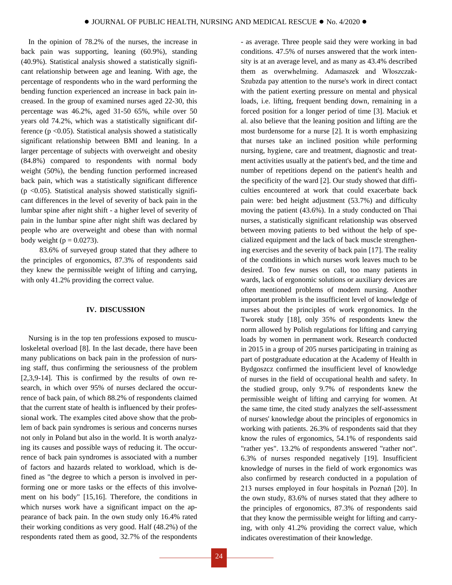In the opinion of 78.2% of the nurses, the increase in back pain was supporting, leaning (60.9%), standing (40.9%). Statistical analysis showed a statistically significant relationship between age and leaning. With age, the percentage of respondents who in the ward performing the bending function experienced an increase in back pain increased. In the group of examined nurses aged 22-30, this percentage was 46.2%, aged 31-50 65%, while over 50 years old 74.2%, which was a statistically significant difference ( $p \le 0.05$ ). Statistical analysis showed a statistically significant relationship between BMI and leaning. In a larger percentage of subjects with overweight and obesity (84.8%) compared to respondents with normal body weight (50%), the bending function performed increased back pain, which was a statistically significant difference  $(p \le 0.05)$ . Statistical analysis showed statistically significant differences in the level of severity of back pain in the lumbar spine after night shift - a higher level of severity of pain in the lumbar spine after night shift was declared by people who are overweight and obese than with normal body weight ( $p = 0.0273$ ).

 83.6% of surveyed group stated that they adhere to the principles of ergonomics, 87.3% of respondents said they knew the permissible weight of lifting and carrying, with only 41.2% providing the correct value.

#### **IV. DISCUSSION**

Nursing is in the top ten professions exposed to musculoskeletal overload [8]. In the last decade, there have been many publications on back pain in the profession of nursing staff, thus confirming the seriousness of the problem [2,3,9-14]. This is confirmed by the results of own research, in which over 95% of nurses declared the occurrence of back pain, of which 88.2% of respondents claimed that the current state of health is influenced by their professional work. The examples cited above show that the problem of back pain syndromes is serious and concerns nurses not only in Poland but also in the world. It is worth analyzing its causes and possible ways of reducing it. The occurrence of back pain syndromes is associated with a number of factors and hazards related to workload, which is defined as "the degree to which a person is involved in performing one or more tasks or the effects of this involvement on his body" [15,16]. Therefore, the conditions in which nurses work have a significant impact on the appearance of back pain. In the own study only 16.4% rated their working conditions as very good. Half (48.2%) of the respondents rated them as good, 32.7% of the respondents

Szubzda pay attention to the nurse's work in direct contact with the patient exerting pressure on mental and physical loads, i.e. lifting, frequent bending down, remaining in a forced position for a longer period of time [3]. Maciuk et al. also believe that the leaning position and lifting are the most burdensome for a nurse [2]. It is worth emphasizing that nurses take an inclined position while performing nursing, hygiene, care and treatment, diagnostic and treatment activities usually at the patient's bed, and the time and number of repetitions depend on the patient's health and the specificity of the ward [2]. Our study showed that difficulties encountered at work that could exacerbate back pain were: bed height adjustment (53.7%) and difficulty moving the patient (43.6%). In a study conducted on Thai nurses, a statistically significant relationship was observed between moving patients to bed without the help of specialized equipment and the lack of back muscle strengthening exercises and the severity of back pain [17]. The reality of the conditions in which nurses work leaves much to be desired. Too few nurses on call, too many patients in wards, lack of ergonomic solutions or auxiliary devices are often mentioned problems of modern nursing. Another important problem is the insufficient level of knowledge of nurses about the principles of work ergonomics. In the Tworek study [18], only 35% of respondents knew the norm allowed by Polish regulations for lifting and carrying loads by women in permanent work. Research conducted in 2015 in a group of 205 nurses participating in training as part of postgraduate education at the Academy of Health in Bydgoszcz confirmed the insufficient level of knowledge of nurses in the field of occupational health and safety. In the studied group, only 9.7% of respondents knew the permissible weight of lifting and carrying for women. At the same time, the cited study analyzes the self-assessment of nurses' knowledge about the principles of ergonomics in working with patients. 26.3% of respondents said that they know the rules of ergonomics, 54.1% of respondents said "rather yes". 13.2% of respondents answered "rather not". 6.3% of nurses responded negatively [19]. Insufficient knowledge of nurses in the field of work ergonomics was also confirmed by research conducted in a population of 213 nurses employed in four hospitals in Poznań [20]. In the own study, 83.6% of nurses stated that they adhere to the principles of ergonomics, 87.3% of respondents said that they know the permissible weight for lifting and carrying, with only 41.2% providing the correct value, which indicates overestimation of their knowledge.

- as average. Three people said they were working in bad conditions. 47.5% of nurses answered that the work intensity is at an average level, and as many as 43.4% described them as overwhelming. Adamaszek and Włoszczak-